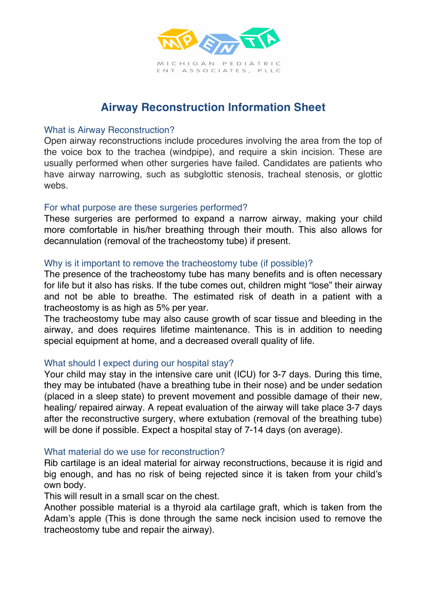

# **Airway Reconstruction Information Sheet**

#### What is Airway Reconstruction?

Open airway reconstructions include procedures involving the area from the top of the voice box to the trachea (windpipe), and require a skin incision. These are usually performed when other surgeries have failed. Candidates are patients who have airway narrowing, such as subglottic stenosis, tracheal stenosis, or glottic webs.

#### For what purpose are these surgeries performed?

These surgeries are performed to expand a narrow airway, making your child more comfortable in his/her breathing through their mouth. This also allows for decannulation (removal of the tracheostomy tube) if present.

## Why is it important to remove the tracheostomy tube (if possible)?

The presence of the tracheostomy tube has many benefits and is often necessary for life but it also has risks. If the tube comes out, children might "lose" their airway and not be able to breathe. The estimated risk of death in a patient with a tracheostomy is as high as 5% per year.

The tracheostomy tube may also cause growth of scar tissue and bleeding in the airway, and does requires lifetime maintenance. This is in addition to needing special equipment at home, and a decreased overall quality of life.

## What should I expect during our hospital stay?

Your child may stay in the intensive care unit (ICU) for 3-7 days. During this time, they may be intubated (have a breathing tube in their nose) and be under sedation (placed in a sleep state) to prevent movement and possible damage of their new, healing/ repaired airway. A repeat evaluation of the airway will take place 3-7 days after the reconstructive surgery, where extubation (removal of the breathing tube) will be done if possible. Expect a hospital stay of 7-14 days (on average).

## What material do we use for reconstruction?

Rib cartilage is an ideal material for airway reconstructions, because it is rigid and big enough, and has no risk of being rejected since it is taken from your child's own body.

This will result in a small scar on the chest.

Another possible material is a thyroid ala cartilage graft, which is taken from the Adam's apple (This is done through the same neck incision used to remove the tracheostomy tube and repair the airway).